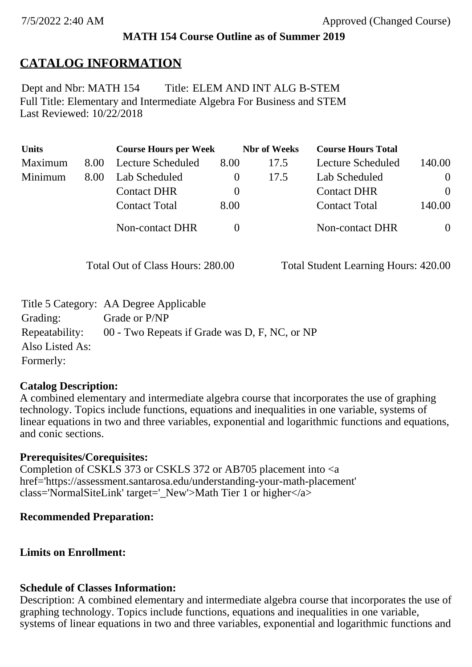### **MATH 154 Course Outline as of Summer 2019**

## **CATALOG INFORMATION**

Full Title: Elementary and Intermediate Algebra For Business and STEM Last Reviewed: 10/22/2018 Dept and Nbr: MATH 154 Title: ELEM AND INT ALG B-STEM

| <b>Units</b> |      | <b>Course Hours per Week</b> |          | <b>Nbr</b> of Weeks | <b>Course Hours Total</b> |                |
|--------------|------|------------------------------|----------|---------------------|---------------------------|----------------|
| Maximum      | 8.00 | Lecture Scheduled            | 8.00     | 17.5                | Lecture Scheduled         | 140.00         |
| Minimum      | 8.00 | Lab Scheduled                | $\theta$ | 17.5                | Lab Scheduled             | $\overline{0}$ |
|              |      | <b>Contact DHR</b>           | $\theta$ |                     | <b>Contact DHR</b>        | $\theta$       |
|              |      | <b>Contact Total</b>         | 8.00     |                     | <b>Contact Total</b>      | 140.00         |
|              |      | Non-contact DHR              |          |                     | Non-contact DHR           | $\overline{0}$ |

Total Out of Class Hours: 280.00 Total Student Learning Hours: 420.00

|                 | Title 5 Category: AA Degree Applicable        |
|-----------------|-----------------------------------------------|
| Grading:        | Grade or P/NP                                 |
| Repeatability:  | 00 - Two Repeats if Grade was D, F, NC, or NP |
| Also Listed As: |                                               |
| Formerly:       |                                               |

#### **Catalog Description:**

A combined elementary and intermediate algebra course that incorporates the use of graphing technology. Topics include functions, equations and inequalities in one variable, systems of linear equations in two and three variables, exponential and logarithmic functions and equations, and conic sections.

#### **Prerequisites/Corequisites:**

Completion of CSKLS 373 or CSKLS 372 or AB705 placement into <a href='https://assessment.santarosa.edu/understanding-your-math-placement' class='NormalSiteLink' target='\_New'>Math Tier 1 or higher</a>

### **Recommended Preparation:**

### **Limits on Enrollment:**

#### **Schedule of Classes Information:**

Description: A combined elementary and intermediate algebra course that incorporates the use of graphing technology. Topics include functions, equations and inequalities in one variable, systems of linear equations in two and three variables, exponential and logarithmic functions and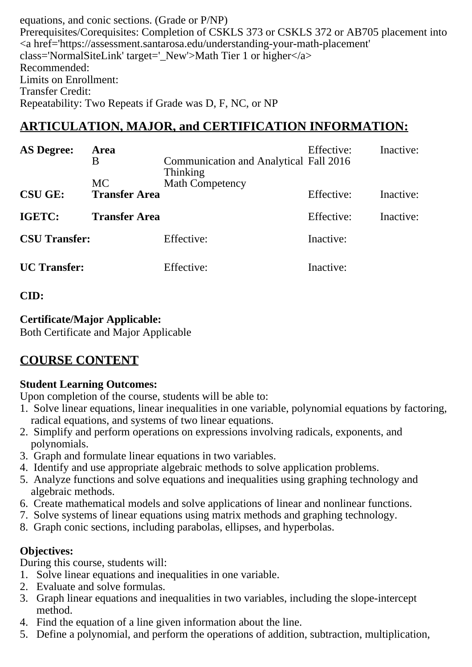equations, and conic sections. (Grade or P/NP) Prerequisites/Corequisites: Completion of CSKLS 373 or CSKLS 372 or AB705 placement into <a href='https://assessment.santarosa.edu/understanding-your-math-placement' class='NormalSiteLink' target='\_New'>Math Tier 1 or higher</a> Recommended: Limits on Enrollment: Transfer Credit: Repeatability: Two Repeats if Grade was D, F, NC, or NP

# **ARTICULATION, MAJOR, and CERTIFICATION INFORMATION:**

| <b>AS Degree:</b>    | Area<br>Β                         | Communication and Analytical Fall 2016<br>Thinking | Effective: | Inactive: |
|----------------------|-----------------------------------|----------------------------------------------------|------------|-----------|
| <b>CSU GE:</b>       | <b>MC</b><br><b>Transfer Area</b> | <b>Math Competency</b>                             | Effective: | Inactive: |
| <b>IGETC:</b>        | <b>Transfer Area</b>              |                                                    | Effective: | Inactive: |
| <b>CSU Transfer:</b> |                                   | Effective:                                         | Inactive:  |           |
| <b>UC</b> Transfer:  |                                   | Effective:                                         | Inactive:  |           |

### **CID:**

### **Certificate/Major Applicable:**

[Both Certificate and Major Applicable](SR_ClassCheck.aspx?CourseKey=MATH154)

# **COURSE CONTENT**

### **Student Learning Outcomes:**

Upon completion of the course, students will be able to:

- 1. Solve linear equations, linear inequalities in one variable, polynomial equations by factoring, radical equations, and systems of two linear equations.
- 2. Simplify and perform operations on expressions involving radicals, exponents, and polynomials.
- 3. Graph and formulate linear equations in two variables.
- 4. Identify and use appropriate algebraic methods to solve application problems.
- 5. Analyze functions and solve equations and inequalities using graphing technology and algebraic methods.
- 6. Create mathematical models and solve applications of linear and nonlinear functions.
- 7. Solve systems of linear equations using matrix methods and graphing technology.
- 8. Graph conic sections, including parabolas, ellipses, and hyperbolas.

### **Objectives:**

During this course, students will:

- 1. Solve linear equations and inequalities in one variable.
- 2. Evaluate and solve formulas.
- 3. Graph linear equations and inequalities in two variables, including the slope-intercept method.
- 4. Find the equation of a line given information about the line.
- 5. Define a polynomial, and perform the operations of addition, subtraction, multiplication,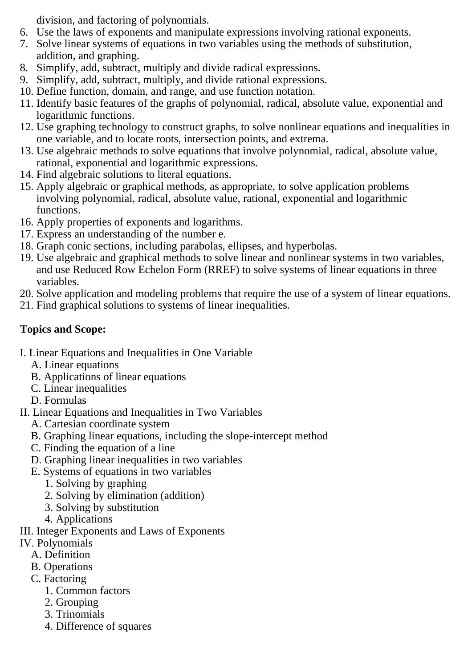division, and factoring of polynomials.

- 6. Use the laws of exponents and manipulate expressions involving rational exponents.
- 7. Solve linear systems of equations in two variables using the methods of substitution, addition, and graphing.
- 8. Simplify, add, subtract, multiply and divide radical expressions.
- 9. Simplify, add, subtract, multiply, and divide rational expressions.
- 10. Define function, domain, and range, and use function notation.
- 11. Identify basic features of the graphs of polynomial, radical, absolute value, exponential and logarithmic functions.
- 12. Use graphing technology to construct graphs, to solve nonlinear equations and inequalities in one variable, and to locate roots, intersection points, and extrema.
- 13. Use algebraic methods to solve equations that involve polynomial, radical, absolute value, rational, exponential and logarithmic expressions.
- 14. Find algebraic solutions to literal equations.
- 15. Apply algebraic or graphical methods, as appropriate, to solve application problems involving polynomial, radical, absolute value, rational, exponential and logarithmic functions.
- 16. Apply properties of exponents and logarithms.
- 17. Express an understanding of the number e.
- 18. Graph conic sections, including parabolas, ellipses, and hyperbolas.
- 19. Use algebraic and graphical methods to solve linear and nonlinear systems in two variables, and use Reduced Row Echelon Form (RREF) to solve systems of linear equations in three variables.
- 20. Solve application and modeling problems that require the use of a system of linear equations.
- 21. Find graphical solutions to systems of linear inequalities.

## **Topics and Scope:**

- I. Linear Equations and Inequalities in One Variable
	- A. Linear equations
	- B. Applications of linear equations
	- C. Linear inequalities
	- D. Formulas
- II. Linear Equations and Inequalities in Two Variables
	- A. Cartesian coordinate system
	- B. Graphing linear equations, including the slope-intercept method
	- C. Finding the equation of a line
	- D. Graphing linear inequalities in two variables
	- E. Systems of equations in two variables
		- 1. Solving by graphing
		- 2. Solving by elimination (addition)
		- 3. Solving by substitution
		- 4. Applications
- III. Integer Exponents and Laws of Exponents
- IV. Polynomials
	- A. Definition
	- B. Operations
	- C. Factoring
		- 1. Common factors
		- 2. Grouping
		- 3. Trinomials
		- 4. Difference of squares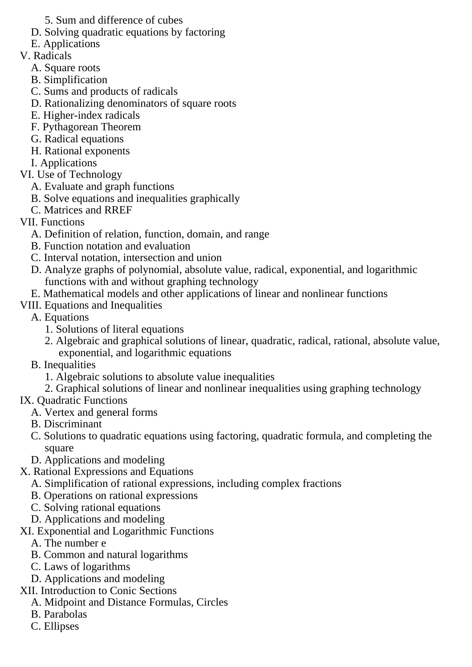- 5. Sum and difference of cubes
- D. Solving quadratic equations by factoring
- E. Applications
- V. Radicals
	- A. Square roots
	- B. Simplification
	- C. Sums and products of radicals
	- D. Rationalizing denominators of square roots
	- E. Higher-index radicals
	- F. Pythagorean Theorem
	- G. Radical equations
	- H. Rational exponents
	- I. Applications
- VI. Use of Technology
	- A. Evaluate and graph functions
	- B. Solve equations and inequalities graphically
	- C. Matrices and RREF
- VII. Functions
	- A. Definition of relation, function, domain, and range
	- B. Function notation and evaluation
	- C. Interval notation, intersection and union
	- D. Analyze graphs of polynomial, absolute value, radical, exponential, and logarithmic functions with and without graphing technology
	- E. Mathematical models and other applications of linear and nonlinear functions
- VIII. Equations and Inequalities
	- A. Equations
		- 1. Solutions of literal equations
		- 2. Algebraic and graphical solutions of linear, quadratic, radical, rational, absolute value, exponential, and logarithmic equations
	- B. Inequalities
		- 1. Algebraic solutions to absolute value inequalities
		- 2. Graphical solutions of linear and nonlinear inequalities using graphing technology

## IX. Quadratic Functions

- A. Vertex and general forms
- B. Discriminant
- C. Solutions to quadratic equations using factoring, quadratic formula, and completing the square
- D. Applications and modeling
- X. Rational Expressions and Equations
	- A. Simplification of rational expressions, including complex fractions
	- B. Operations on rational expressions
	- C. Solving rational equations
	- D. Applications and modeling
- XI. Exponential and Logarithmic Functions
	- A. The number e
	- B. Common and natural logarithms
	- C. Laws of logarithms
	- D. Applications and modeling
- XII. Introduction to Conic Sections
	- A. Midpoint and Distance Formulas, Circles
	- B. Parabolas
	- C. Ellipses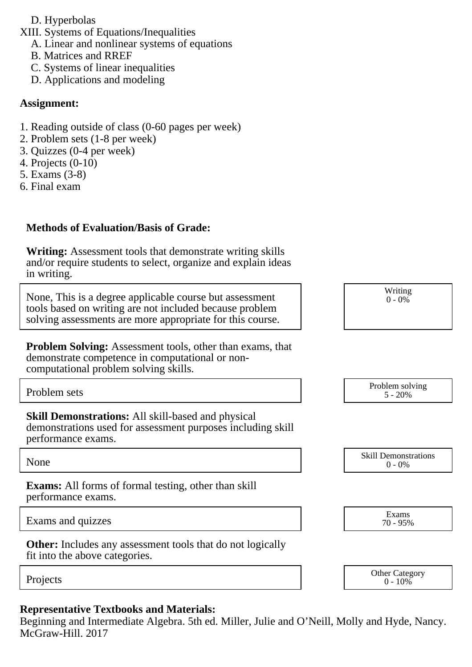- D. Hyperbolas
- XIII. Systems of Equations/Inequalities
	- A. Linear and nonlinear systems of equations
	- B. Matrices and RREF
	- C. Systems of linear inequalities
	- D. Applications and modeling

#### **Assignment:**

- 1. Reading outside of class (0-60 pages per week)
- 2. Problem sets (1-8 per week)
- 3. Quizzes (0-4 per week)
- 4. Projects (0-10)
- 5. Exams (3-8)
- 6. Final exam

### **Methods of Evaluation/Basis of Grade:**

**Writing:** Assessment tools that demonstrate writing skills and/or require students to select, organize and explain ideas in writing.

None, This is a degree applicable course but assessment tools based on writing are not included because problem solving assessments are more appropriate for this course.

**Skill Demonstrations:** All skill-based and physical demonstrations used for assessment purposes including skill performance exams.

**Exams:** All forms of formal testing, other than skill performance exams.

Exams and quizzes Exams and quizzes Exams

**Other:** Includes any assessment tools that do not logically fit into the above categories.

### **Representative Textbooks and Materials:**

Beginning and Intermediate Algebra. 5th ed. Miller, Julie and O'Neill, Molly and Hyde, Nancy. McGraw-Hill. 2017

| None, I his is a degree applicable course but assessment<br>tools based on writing are not included because problem<br>solving assessments are more appropriate for this course. | $0 - 0\%$                    |
|----------------------------------------------------------------------------------------------------------------------------------------------------------------------------------|------------------------------|
| <b>Problem Solving:</b> Assessment tools, other than exams, that<br>demonstrate competence in computational or non-<br>computational problem solving skills.                     |                              |
| Problem sets                                                                                                                                                                     | Problem solving<br>$5 - 20%$ |
| <b>Skill Demonstrations:</b> All skill-based and physical                                                                                                                        |                              |

Writing

None Skill Demonstrations<br>  $\begin{array}{c} \text{Skill,} \\ 0 \text{ - } 0\% \end{array}$  $0 - 0\%$ 

70 - 95%

|          | <b>Other Category</b> |
|----------|-----------------------|
| Projects | $0 - 10\%$            |